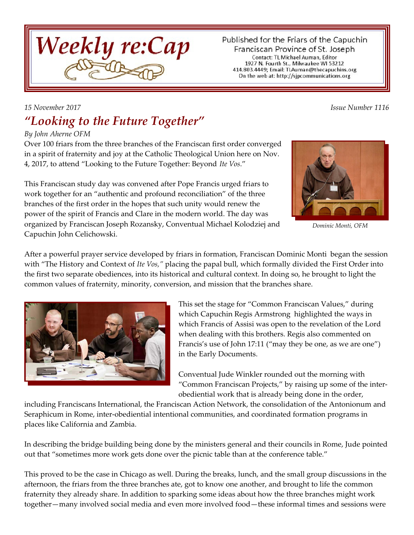

Published for the Friars of the Capuchin Franciscan Province of St. Joseph Contact: TL Michael Auman, Editor 1927 N. Fourth St., Milwaukee WI 53212 414.803.4449; Email: TLAuman@thecapuchins.org On the web at: http://sjpcommunications.org

# *"Looking to the Future Together"*

#### *By John Aherne OFM*

Over 100 friars from the three branches of the Franciscan first order converged in a spirit of fraternity and joy at the Catholic Theological Union here on Nov. 4, 2017, to attend "Looking to the Future Together: Beyond *Ite Vos*."

This Franciscan study day was convened after Pope Francis urged friars to work together for an "authentic and profound reconciliation" of the three branches of the first order in the hopes that such unity would renew the power of the spirit of Francis and Clare in the modern world. The day was organized by Franciscan Joseph Rozansky, Conventual Michael Kolodziej and Capuchin John Celichowski.



*Dominic Monti, OFM*

After a powerful prayer service developed by friars in formation, Franciscan Dominic Monti began the session with "The History and Context of *Ite Vos,"* placing the papal bull, which formally divided the First Order into the first two separate obediences, into its historical and cultural context. In doing so, he brought to light the common values of fraternity, minority, conversion, and mission that the branches share.



This set the stage for "Common Franciscan Values," during which Capuchin Regis Armstrong highlighted the ways in which Francis of Assisi was open to the revelation of the Lord when dealing with this brothers. Regis also commented on Francis's use of John 17:11 ("may they be one, as we are one") in the Early Documents.

Conventual Jude Winkler rounded out the morning with "Common Franciscan Projects," by raising up some of the interobediential work that is already being done in the order,

including Franciscans International, the Franciscan Action Network, the consolidation of the Antonionum and Seraphicum in Rome, inter-obediential intentional communities, and coordinated formation programs in places like California and Zambia.

In describing the bridge building being done by the ministers general and their councils in Rome, Jude pointed out that "sometimes more work gets done over the picnic table than at the conference table."

This proved to be the case in Chicago as well. During the breaks, lunch, and the small group discussions in the afternoon, the friars from the three branches ate, got to know one another, and brought to life the common fraternity they already share. In addition to sparking some ideas about how the three branches might work together—many involved social media and even more involved food—these informal times and sessions were

*15 November 2017 Issue Number 1116*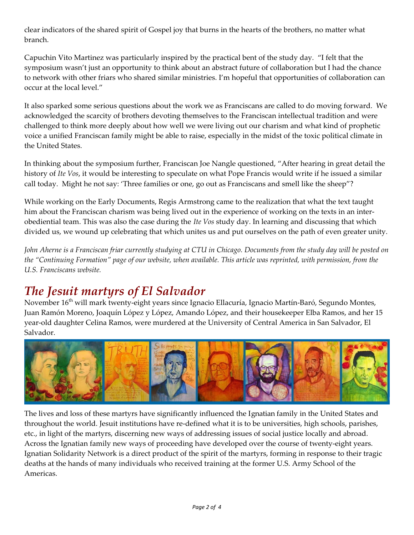clear indicators of the shared spirit of Gospel joy that burns in the hearts of the brothers, no matter what branch.

Capuchin Vito Martinez was particularly inspired by the practical bent of the study day. "I felt that the symposium wasn't just an opportunity to think about an abstract future of collaboration but I had the chance to network with other friars who shared similar ministries. I'm hopeful that opportunities of collaboration can occur at the local level."

It also sparked some serious questions about the work we as Franciscans are called to do moving forward. We acknowledged the scarcity of brothers devoting themselves to the Franciscan intellectual tradition and were challenged to think more deeply about how well we were living out our charism and what kind of prophetic voice a unified Franciscan family might be able to raise, especially in the midst of the toxic political climate in the United States.

In thinking about the symposium further, Franciscan Joe Nangle questioned, "After hearing in great detail the history of *Ite Vos*, it would be interesting to speculate on what Pope Francis would write if he issued a similar call today. Might he not say: 'Three families or one, go out as Franciscans and smell like the sheep"?

While working on the Early Documents, Regis Armstrong came to the realization that what the text taught him about the Franciscan charism was being lived out in the experience of working on the texts in an interobediential team. This was also the case during the *Ite Vos* study day. In learning and discussing that which divided us, we wound up celebrating that which unites us and put ourselves on the path of even greater unity.

*John Aherne is a Franciscan friar currently studying at CTU in Chicago. Documents from the study day will be posted on the "Continuing Formation" page of our website, when available. This article was reprinted, with permission, from the U.S. Franciscans website.*

#### *The Jesuit martyrs of El Salvador*

November 16<sup>th</sup> will mark twenty-eight years since Ignacio Ellacuría, Ignacio Martín-Baró, Segundo Montes, Juan Ramón Moreno, Joaquín López y López, Amando López, and their housekeeper Elba Ramos, and her 15 year-old daughter Celina Ramos, were murdered at the University of Central America in San Salvador, El Salvador.



The lives and loss of these martyrs have significantly influenced the Ignatian family in the United States and throughout the world. Jesuit institutions have re-defined what it is to be universities, high schools, parishes, etc., in light of the martyrs, discerning new ways of addressing issues of social justice locally and abroad. Across the Ignatian family new ways of proceeding have developed over the course of twenty-eight years. Ignatian Solidarity Network is a direct product of the spirit of the martyrs, forming in response to their tragic deaths at the hands of many individuals who received training at the former U.S. Army School of the Americas.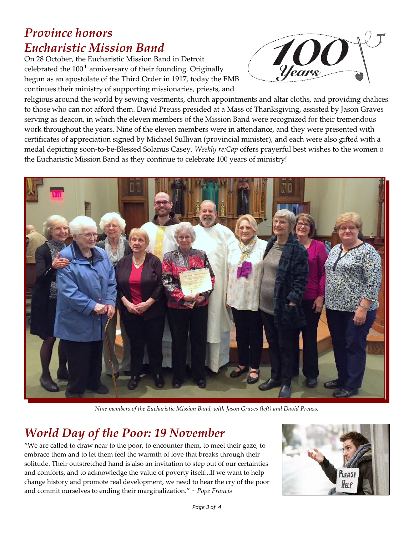#### *Province honors Eucharistic Mission Band*

On 28 October, the Eucharistic Mission Band in Detroit celebrated the  $100<sup>th</sup>$  anniversary of their founding. Originally begun as an apostolate of the Third Order in 1917, today the EMB continues their ministry of supporting missionaries, priests, and



religious around the world by sewing vestments, church appointments and altar cloths, and providing chalices to those who can not afford them. David Preuss presided at a Mass of Thanksgiving, assisted by Jason Graves serving as deacon, in which the eleven members of the Mission Band were recognized for their tremendous work throughout the years. Nine of the eleven members were in attendance, and they were presented with certificates of appreciation signed by Michael Sullivan (provincial minister), and each were also gifted with a medal depicting soon-to-be-Blessed Solanus Casey. *Weekly re:Cap* offers prayerful best wishes to the women o the Eucharistic Mission Band as they continue to celebrate 100 years of ministry!



*Nine members of the Eucharistic Mission Band, with Jason Graves (left) and David Preuss.*

### *World Day of the Poor: 19 November*

"We are called to draw near to the poor, to encounter them, to meet their gaze, to embrace them and to let them feel the warmth of love that breaks through their solitude. Their outstretched hand is also an invitation to step out of our certainties and comforts, and to acknowledge the value of poverty itself...If we want to help change history and promote real development, we need to hear the cry of the poor and commit ourselves to ending their marginalization." *~ Pope Francis*